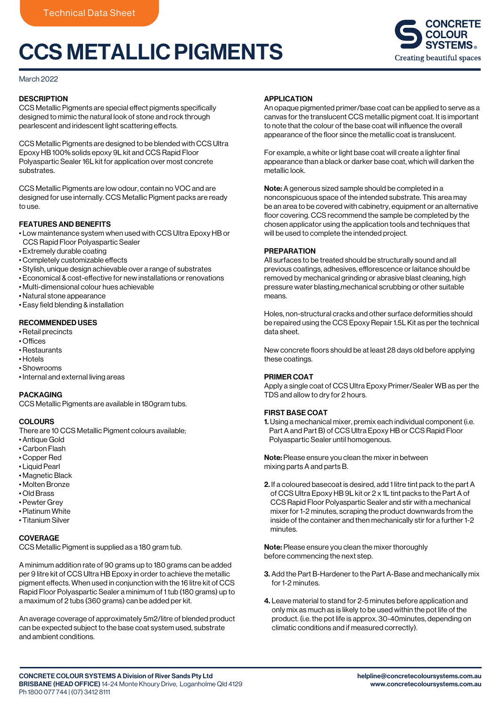# CCS METALLIC PIGMENTS



#### March 2022

## **DESCRIPTION**

CCS Metallic Pigments are special effect pigments specifically designed to mimic the natural look of stone and rock through pearlescent and iridescent light scattering effects.

CCS Metallic Pigments are designed to be blended with CCS Ultra Epoxy HB 100% solids epoxy 9L kit and CCS Rapid Floor Polyaspartic Sealer 16L kit for application over most concrete substrates.

CCS Metallic Pigments are low odour, contain no VOC and are designed for use internally. CCS Metallic Pigment packs are ready to use.

# FEATURES AND BENEFITS

• Low maintenance system when used with CCS Ultra Epoxy HB or CCS Rapid Floor Polyaspartic Sealer

- Extremely durable coating
- $\cdot$  Completely customizable effects
- Stylish, unique design achievable over a range of substrates
- Economical & cost-effective for new installations or renovations
- Multi-dimensional colour hues achievable
- Natural stone appearance
- Easy field blending & installation

## RECOMMENDED USES

- Retail precincts
- $\cdot$  Offices
- Restaurants
- Hotels
- Showrooms
- Internal and external living areas

## PACKAGING

CCS Metallic Pigments are available in 180gram tubs.

## **COLOURS**

There are 10 CCS Metallic Pigment colours available;

- Antique Gold
- Carbon Flash
- Copper Red
- Liquid Pearl
- Magnetic Black
- Molten Bronze
- Old Brass
- Pewter Grey
- Platinum White • Titanium Silver
- 

## **COVERAGE**

CCS Metallic Pigment is supplied as a 180 gram tub.

A minimum addition rate of 90 grams up to 180 grams can be added per 9 litre kit of CCS Ultra HB Epoxy in order to achieve the metallic pigment effects. When used in conjunction with the 16 litre kit of CCS Rapid Floor Polyaspartic Sealer a minimum of 1 tub (180 grams) up to a maximum of 2 tubs (360 grams) can be added per kit.

An average coverage of approximately 5m2/litre of blended product can be expected subject to the base coat system used, substrate and ambient conditions.

#### APPLICATION

An opaque pigmented primer/base coat can be applied to serve as a canvas for the translucent CCS metallic pigment coat. It is important to note that the colour of the base coat will influence the overall appearance of the floor since the metallic coat is translucent.

For example, a white or light base coat will create a lighter final appearance than a black or darker base coat, which will darken the metallic look.

Note: A generous sized sample should be completed in a nonconspicuous space of the intended substrate. This area may be an area to be covered with cabinetry, equipment or an alternative floor covering. CCS recommend the sample be completed by the chosen applicator using the application tools and techniques that will be used to complete the intended project.

## PREPARATION

All surfaces to be treated should be structurally sound and all previous coatings, adhesives, efflorescence or laitance should be removed by mechanical grinding or abrasive blast cleaning, high pressure water blasting,mechanical scrubbing or other suitable means.

Holes, non-structural cracks and other surface deformities should be repaired using the CCS Epoxy Repair 1.5L Kit as per the technical data sheet.

New concrete floors should be at least 28 days old before applying these coatings.

## PRIMER COAT

Apply a single coat of CCS Ultra Epoxy Primer/Sealer WB as per the TDS and allow to dry for 2 hours.

## FIRST BASE COAT

1. Using a mechanical mixer, premix each individual component (i.e. Part A and Part B) of CCS Ultra Epoxy HB or CCS Rapid Floor Polyaspartic Sealer until homogenous.

Note: Please ensure you clean the mixer in between mixing parts A and parts B.

2. If a coloured basecoat is desired, add 1 litre tint pack to the part A of CCS Ultra Epoxy HB 9L kit or 2 x 1L tint packs to the Part A of CCS Rapid Floor Polyaspartic Sealer and stir with a mechanical mixer for 1-2 minutes, scraping the product downwards from the inside of the container and then mechanically stir for a further 1-2 minutes.

Note: Please ensure you clean the mixer thoroughly before commencing the next step.

- 3. Add the Part B-Hardener to the Part A-Base and mechanically mix for 1-2 minutes.
- 4. Leave material to stand for 2-5 minutes before application and only mix as much as is likely to be used within the pot life of the product. (i.e. the pot life is approx. 30-40minutes, depending on climatic conditions and if measured correctly).